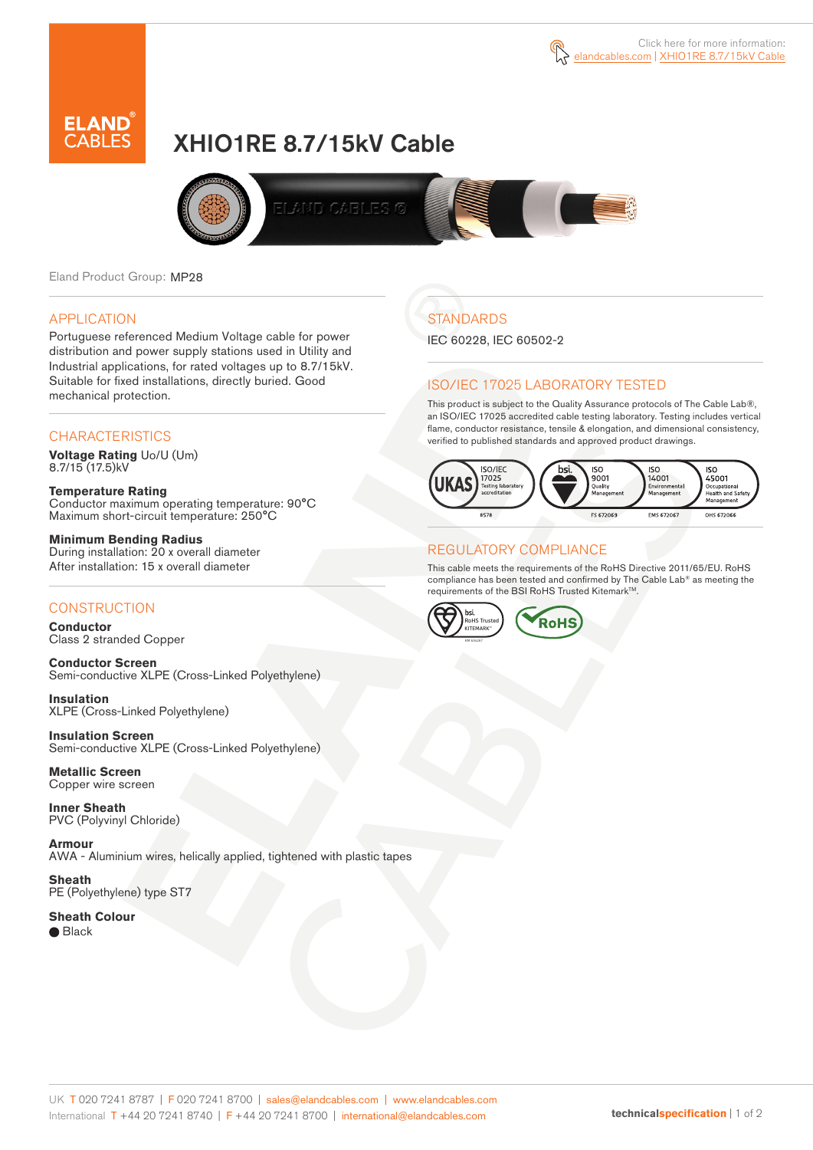



# XHIO1RE 8.7/15kV Cable



Eland Product Group: MP28

### APPLICATION

Portuguese referenced Medium Voltage cable for power distribution and power supply stations used in Utility and Industrial applications, for rated voltages up to 8.7/15kV. Suitable for fixed installations, directly buried. Good mechanical protection.

### **CHARACTERISTICS**

**Voltage Rating** Uo/U (Um) 8.7/15 (17.5)kV

**Temperature Rating** Conductor maximum operating temperature: 90°C Maximum short-circuit temperature: 250°C

**Minimum Bending Radius** During installation: 20 x overall diameter After installation: 15 x overall diameter

### **CONSTRUCTION**

**Conductor**  Class 2 stranded Copper

**Conductor Screen** Semi-conductive XLPE (Cross-Linked Polyethylene)

**Insulation** XLPE (Cross-Linked Polyethylene)

**Insulation Screen** Semi-conductive XLPE (Cross-Linked Polyethylene)

**Metallic Screen**  Copper wire screen

**Inner Sheath** PVC (Polyvinyl Chloride)

**Armour** AWA - Aluminium wires, helically applied, tightened with plastic tapes

**Sheath** PE (Polyethylene) type ST7

**Sheath Colour**  ● Black

## **STANDARDS**

IEC 60228, IEC 60502-2

### ISO/IEC 17025 LABORATORY TESTED

This product is subject to the Quality Assurance protocols of The Cable Lab®, an ISO/IEC 17025 accredited cable testing laboratory. Testing includes vertical flame, conductor resistance, tensile & elongation, and dimensional consistency, verified to published standards and approved product drawings.



### REGULATORY COMPLIANCE

This cable meets the requirements of the RoHS Directive 2011/65/EU. RoHS compliance has been tested and confirmed by The Cable Lab® as meeting the requirements of the BSI RoHS Trusted Kitemark™.